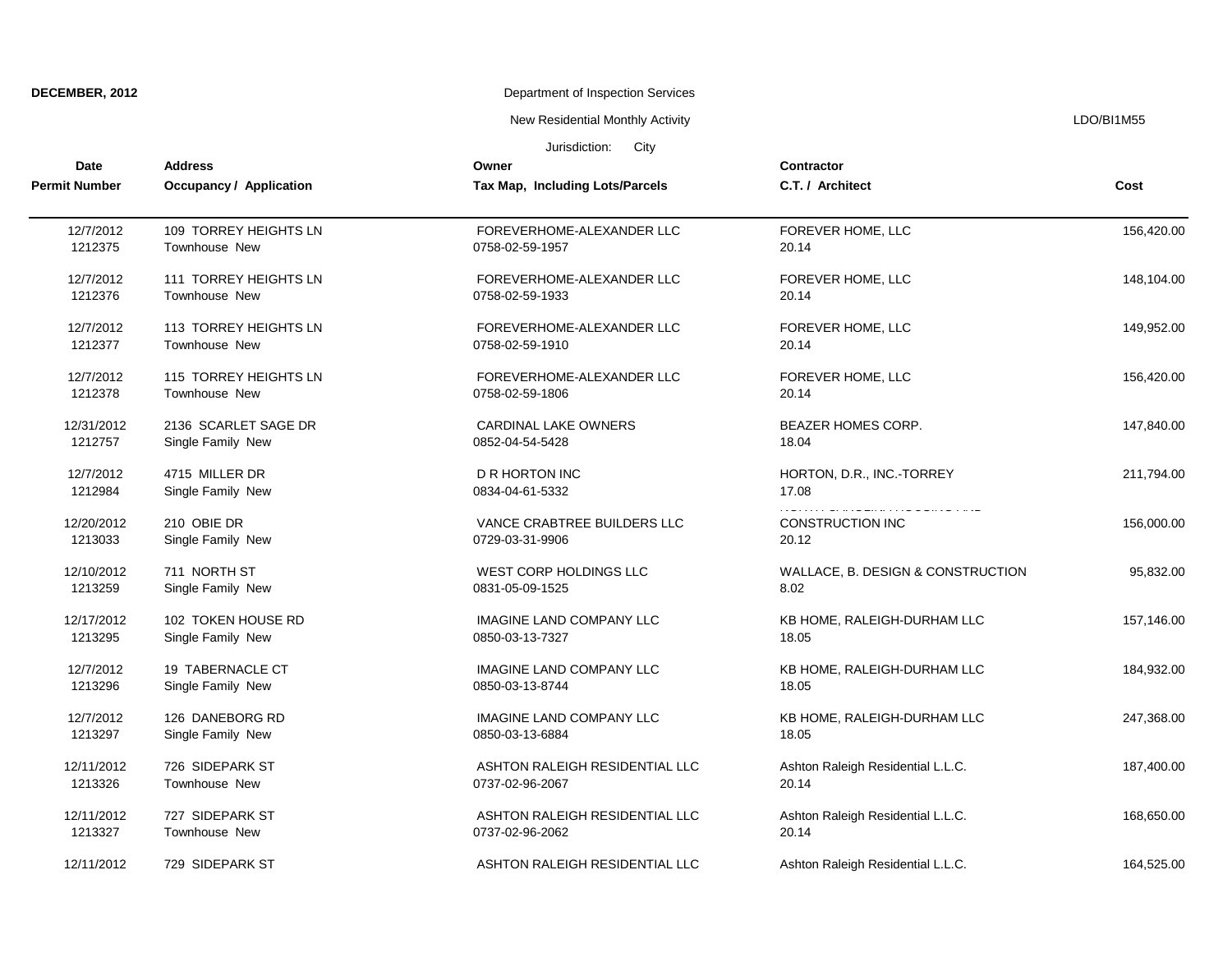| <b>DECEMBER, 2012</b> |  |
|-----------------------|--|
|-----------------------|--|

New Residential Monthly Activity **LACTION** CONSERVITY ASSESSMENT RESIDENT RESIDENT RESIDENTS A LOO A LOO AND THE R

| Date                  | <b>Address</b>                   | Owner                                          | Contractor                        |            |
|-----------------------|----------------------------------|------------------------------------------------|-----------------------------------|------------|
| <b>Permit Number</b>  | <b>Occupancy / Application</b>   | Tax Map, Including Lots/Parcels                | C.T. / Architect                  | Cost       |
| 12/7/2012             | 109 TORREY HEIGHTS LN            | FOREVERHOME-ALEXANDER LLC                      | FOREVER HOME, LLC                 | 156,420.00 |
| 1212375               | Townhouse New                    | 0758-02-59-1957                                | 20.14                             |            |
| 12/7/2012             | 111 TORREY HEIGHTS LN            | FOREVERHOME-ALEXANDER LLC                      | FOREVER HOME, LLC                 | 148,104.00 |
| 1212376               | Townhouse New                    | 0758-02-59-1933                                | 20.14                             |            |
| 12/7/2012             | 113 TORREY HEIGHTS LN            | FOREVERHOME-ALEXANDER LLC                      | FOREVER HOME, LLC                 | 149,952.00 |
| 1212377               | Townhouse New                    | 0758-02-59-1910                                | 20.14                             |            |
| 12/7/2012             | 115 TORREY HEIGHTS LN            | FOREVERHOME-ALEXANDER LLC                      | FOREVER HOME, LLC                 | 156,420.00 |
| 1212378               | Townhouse New                    | 0758-02-59-1806                                | 20.14                             |            |
| 12/31/2012            | 2136 SCARLET SAGE DR             | <b>CARDINAL LAKE OWNERS</b>                    | BEAZER HOMES CORP.                | 147,840.00 |
| 1212757               | Single Family New                | 0852-04-54-5428                                | 18.04                             |            |
| 12/7/2012             | 4715 MILLER DR                   | <b>D R HORTON INC</b>                          | HORTON, D.R., INC.-TORREY         | 211,794.00 |
| 1212984               | Single Family New                | 0834-04-61-5332                                | 17.08                             |            |
| 12/20/2012<br>1213033 | 210 OBIE DR<br>Single Family New | VANCE CRABTREE BUILDERS LLC<br>0729-03-31-9906 | <b>CONSTRUCTION INC</b><br>20.12  | 156,000.00 |
| 12/10/2012            | 711 NORTH ST                     | WEST CORP HOLDINGS LLC                         | WALLACE, B. DESIGN & CONSTRUCTION | 95,832.00  |
| 1213259               | Single Family New                | 0831-05-09-1525                                | 8.02                              |            |
| 12/17/2012            | 102 TOKEN HOUSE RD               | <b>IMAGINE LAND COMPANY LLC</b>                | KB HOME, RALEIGH-DURHAM LLC       | 157,146.00 |
| 1213295               | Single Family New                | 0850-03-13-7327                                | 18.05                             |            |
| 12/7/2012             | 19 TABERNACLE CT                 | <b>IMAGINE LAND COMPANY LLC</b>                | KB HOME, RALEIGH-DURHAM LLC       | 184,932.00 |
| 1213296               | Single Family New                | 0850-03-13-8744                                | 18.05                             |            |
| 12/7/2012             | 126 DANEBORG RD                  | <b>IMAGINE LAND COMPANY LLC</b>                | KB HOME, RALEIGH-DURHAM LLC       | 247,368.00 |
| 1213297               | Single Family New                | 0850-03-13-6884                                | 18.05                             |            |
| 12/11/2012            | 726 SIDEPARK ST                  | ASHTON RALEIGH RESIDENTIAL LLC                 | Ashton Raleigh Residential L.L.C. | 187,400.00 |
| 1213326               | Townhouse New                    | 0737-02-96-2067                                | 20.14                             |            |
| 12/11/2012            | 727 SIDEPARK ST                  | ASHTON RALEIGH RESIDENTIAL LLC                 | Ashton Raleigh Residential L.L.C. | 168,650.00 |
| 1213327               | Townhouse New                    | 0737-02-96-2062                                | 20.14                             |            |
| 12/11/2012            | 729 SIDEPARK ST                  | ASHTON RALEIGH RESIDENTIAL LLC                 | Ashton Raleigh Residential L.L.C. | 164.525.00 |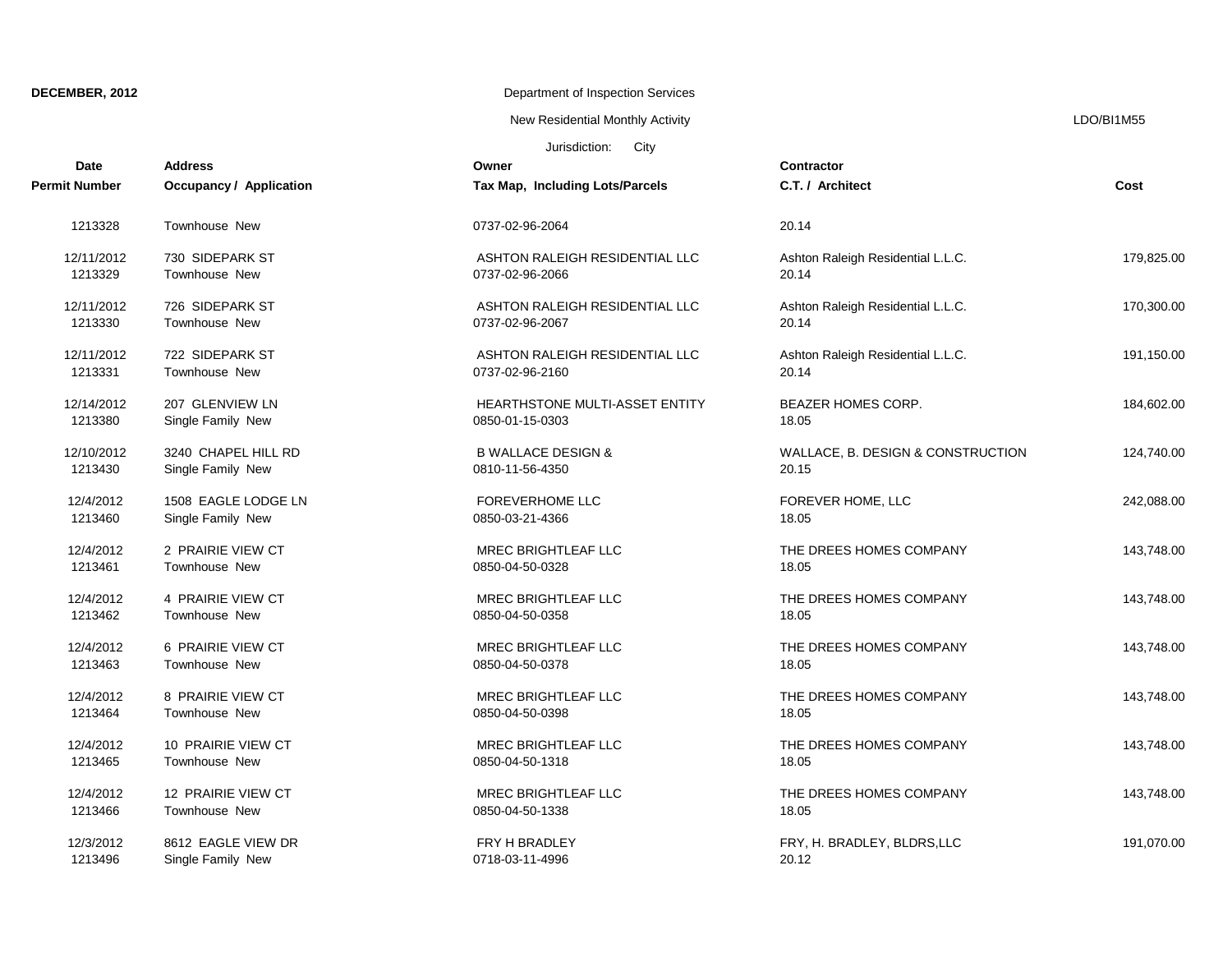New Residential Monthly Activity **LACTION** CONSERVITY ASSESSMENT RESIDENTS A LOO AND THE RESIDENTS OF A LOO AND THE RESIDENCE OF A LOO AND THE RESIDENCE OF A LOO AND THE RESIDENCE OF A LOO AND THE RESIDENCE OF A LOO AND TH

| Date                 | <b>Address</b>                 | Owner                           | <b>Contractor</b>                 |            |
|----------------------|--------------------------------|---------------------------------|-----------------------------------|------------|
| <b>Permit Number</b> | <b>Occupancy / Application</b> | Tax Map, Including Lots/Parcels | C.T. / Architect                  | Cost       |
| 1213328              | Townhouse New                  | 0737-02-96-2064                 | 20.14                             |            |
| 12/11/2012           | 730 SIDEPARK ST                | ASHTON RALEIGH RESIDENTIAL LLC  | Ashton Raleigh Residential L.L.C. | 179,825.00 |
| 1213329              | <b>Townhouse New</b>           | 0737-02-96-2066                 | 20.14                             |            |
| 12/11/2012           | 726 SIDEPARK ST                | ASHTON RALEIGH RESIDENTIAL LLC  | Ashton Raleigh Residential L.L.C. | 170,300.00 |
| 1213330              | <b>Townhouse New</b>           | 0737-02-96-2067                 | 20.14                             |            |
| 12/11/2012           | 722 SIDEPARK ST                | ASHTON RALEIGH RESIDENTIAL LLC  | Ashton Raleigh Residential L.L.C. | 191,150.00 |
| 1213331              | Townhouse New                  | 0737-02-96-2160                 | 20.14                             |            |
| 12/14/2012           | 207 GLENVIEW LN                | HEARTHSTONE MULTI-ASSET ENTITY  | <b>BEAZER HOMES CORP.</b>         | 184,602.00 |
| 1213380              | Single Family New              | 0850-01-15-0303                 | 18.05                             |            |
| 12/10/2012           | 3240 CHAPEL HILL RD            | <b>B WALLACE DESIGN &amp;</b>   | WALLACE, B. DESIGN & CONSTRUCTION | 124,740.00 |
| 1213430              | Single Family New              | 0810-11-56-4350                 | 20.15                             |            |
| 12/4/2012            | 1508 EAGLE LODGE LN            | <b>FOREVERHOME LLC</b>          | FOREVER HOME, LLC                 | 242,088.00 |
| 1213460              | Single Family New              | 0850-03-21-4366                 | 18.05                             |            |
| 12/4/2012            | 2 PRAIRIE VIEW CT              | MREC BRIGHTLEAF LLC             | THE DREES HOMES COMPANY           | 143,748.00 |
| 1213461              | <b>Townhouse New</b>           | 0850-04-50-0328                 | 18.05                             |            |
| 12/4/2012            | 4 PRAIRIE VIEW CT              | <b>MREC BRIGHTLEAF LLC</b>      | THE DREES HOMES COMPANY           | 143,748.00 |
| 1213462              | Townhouse New                  | 0850-04-50-0358                 | 18.05                             |            |
| 12/4/2012            | 6 PRAIRIE VIEW CT              | <b>MREC BRIGHTLEAF LLC</b>      | THE DREES HOMES COMPANY           | 143.748.00 |
| 1213463              | Townhouse New                  | 0850-04-50-0378                 | 18.05                             |            |
| 12/4/2012            | 8 PRAIRIE VIEW CT              | MREC BRIGHTLEAF LLC             | THE DREES HOMES COMPANY           | 143,748.00 |
| 1213464              | <b>Townhouse New</b>           | 0850-04-50-0398                 | 18.05                             |            |
| 12/4/2012            | 10 PRAIRIE VIEW CT             | <b>MREC BRIGHTLEAF LLC</b>      | THE DREES HOMES COMPANY           | 143,748.00 |
| 1213465              | Townhouse New                  | 0850-04-50-1318                 | 18.05                             |            |
| 12/4/2012            | 12 PRAIRIE VIEW CT             | MREC BRIGHTLEAF LLC             | THE DREES HOMES COMPANY           | 143,748.00 |
| 1213466              | Townhouse New                  | 0850-04-50-1338                 | 18.05                             |            |
| 12/3/2012            | 8612 EAGLE VIEW DR             | FRY H BRADLEY                   | FRY, H. BRADLEY, BLDRS,LLC        | 191,070.00 |
| 1213496              | Single Family New              | 0718-03-11-4996                 | 20.12                             |            |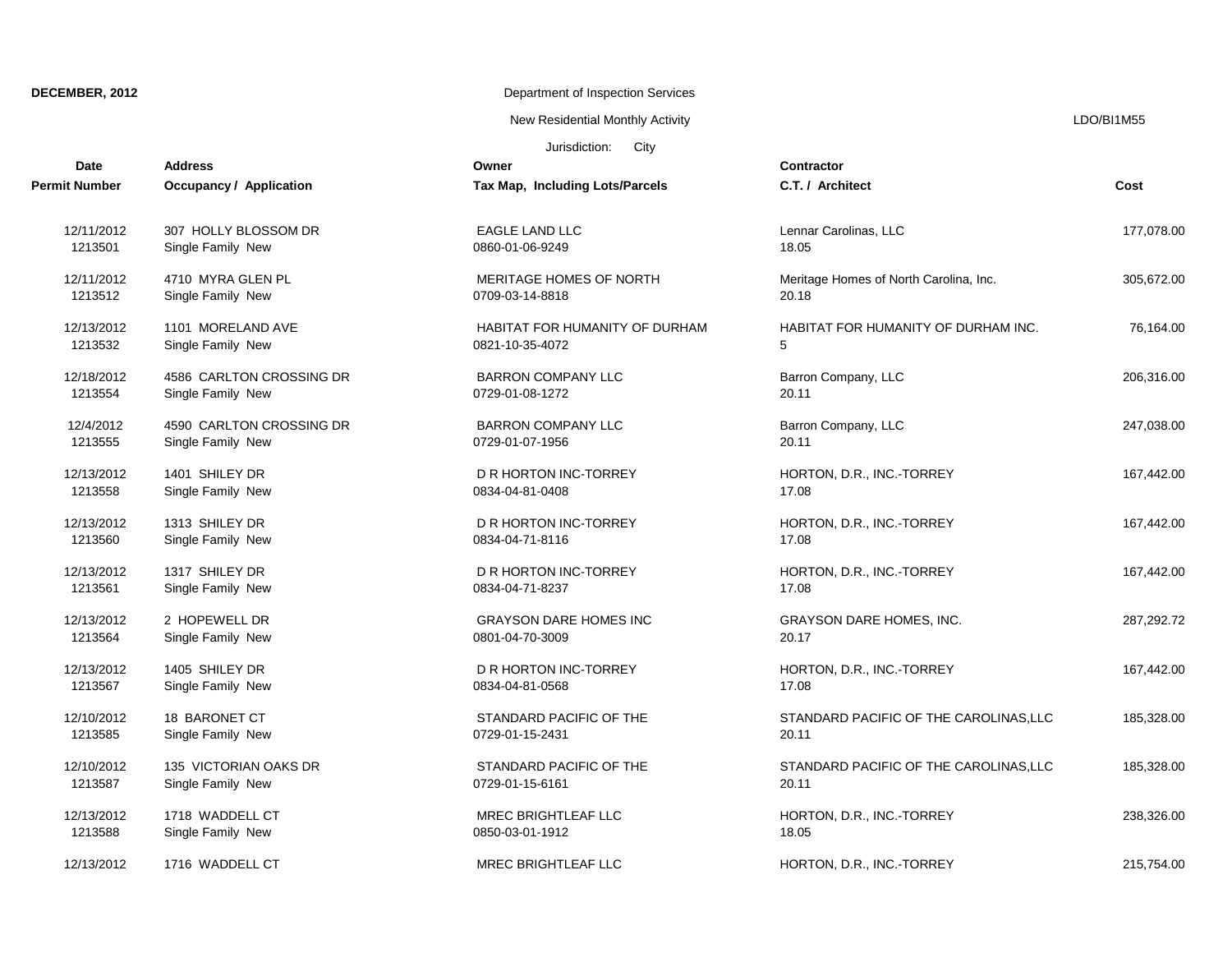New Residential Monthly Activity **LACTION** CONSERVITY ASSESSMENT RESIDENTS A LOO AND THE RESIDENTS OF A LOO AND THE RESIDENCE OF A LOO AND THE RESIDENCE OF A LOO AND THE RESIDENCE OF A LOO AND THE RESIDENCE OF A LOO AND TH

| Date          | <b>Address</b>                 | Jurisdiction:<br>City<br>Owner  | Contractor                                 |            |
|---------------|--------------------------------|---------------------------------|--------------------------------------------|------------|
| Permit Number | <b>Occupancy / Application</b> | Tax Map, Including Lots/Parcels | C.T. / Architect                           | Cost       |
| 12/11/2012    | 307 HOLLY BLOSSOM DR           | <b>EAGLE LAND LLC</b>           | Lennar Carolinas, LLC                      | 177,078.00 |
| 1213501       | Single Family New              | 0860-01-06-9249                 | 18.05                                      |            |
| 12/11/2012    | 4710 MYRA GLEN PL              | MERITAGE HOMES OF NORTH         | Meritage Homes of North Carolina, Inc.     | 305,672.00 |
| 1213512       | Single Family New              | 0709-03-14-8818                 | 20.18                                      |            |
| 12/13/2012    | 1101 MORELAND AVE              | HABITAT FOR HUMANITY OF DURHAM  | <b>HABITAT FOR HUMANITY OF DURHAM INC.</b> | 76,164.00  |
| 1213532       | Single Family New              | 0821-10-35-4072                 | 5                                          |            |
| 12/18/2012    | 4586 CARLTON CROSSING DR       | <b>BARRON COMPANY LLC</b>       | Barron Company, LLC                        | 206,316.00 |
| 1213554       | Single Family New              | 0729-01-08-1272                 | 20.11                                      |            |
| 12/4/2012     | 4590 CARLTON CROSSING DR       | <b>BARRON COMPANY LLC</b>       | Barron Company, LLC                        | 247,038.00 |
| 1213555       | Single Family New              | 0729-01-07-1956                 | 20.11                                      |            |
| 12/13/2012    | 1401 SHILEY DR                 | D R HORTON INC-TORREY           | HORTON, D.R., INC.-TORREY                  | 167,442.00 |
| 1213558       | Single Family New              | 0834-04-81-0408                 | 17.08                                      |            |
| 12/13/2012    | 1313 SHILEY DR                 | D R HORTON INC-TORREY           | HORTON, D.R., INC.-TORREY                  | 167,442.00 |
| 1213560       | Single Family New              | 0834-04-71-8116                 | 17.08                                      |            |
| 12/13/2012    | 1317 SHILEY DR                 | D R HORTON INC-TORREY           | HORTON, D.R., INC.-TORREY                  | 167,442.00 |
| 1213561       | Single Family New              | 0834-04-71-8237                 | 17.08                                      |            |
| 12/13/2012    | 2 HOPEWELL DR                  | <b>GRAYSON DARE HOMES INC</b>   | GRAYSON DARE HOMES, INC.                   | 287,292.72 |
| 1213564       | Single Family New              | 0801-04-70-3009                 | 20.17                                      |            |
| 12/13/2012    | 1405 SHILEY DR                 | D R HORTON INC-TORREY           | HORTON, D.R., INC.-TORREY                  | 167,442.00 |
| 1213567       | Single Family New              | 0834-04-81-0568                 | 17.08                                      |            |
| 12/10/2012    | 18 BARONET CT                  | STANDARD PACIFIC OF THE         | STANDARD PACIFIC OF THE CAROLINAS, LLC     | 185,328.00 |
| 1213585       | Single Family New              | 0729-01-15-2431                 | 20.11                                      |            |
| 12/10/2012    | 135 VICTORIAN OAKS DR          | STANDARD PACIFIC OF THE         | STANDARD PACIFIC OF THE CAROLINAS, LLC     | 185,328.00 |
| 1213587       | Single Family New              | 0729-01-15-6161                 | 20.11                                      |            |
| 12/13/2012    | 1718 WADDELL CT                | <b>MREC BRIGHTLEAF LLC</b>      | HORTON, D.R., INC.-TORREY                  | 238,326.00 |
| 1213588       | Single Family New              | 0850-03-01-1912                 | 18.05                                      |            |
|               |                                |                                 |                                            |            |

12/13/2012 1716 WADDELL CT **MREC BRIGHTLEAF LLC** HORTON, D.R., INC.-TORREY 215,754.00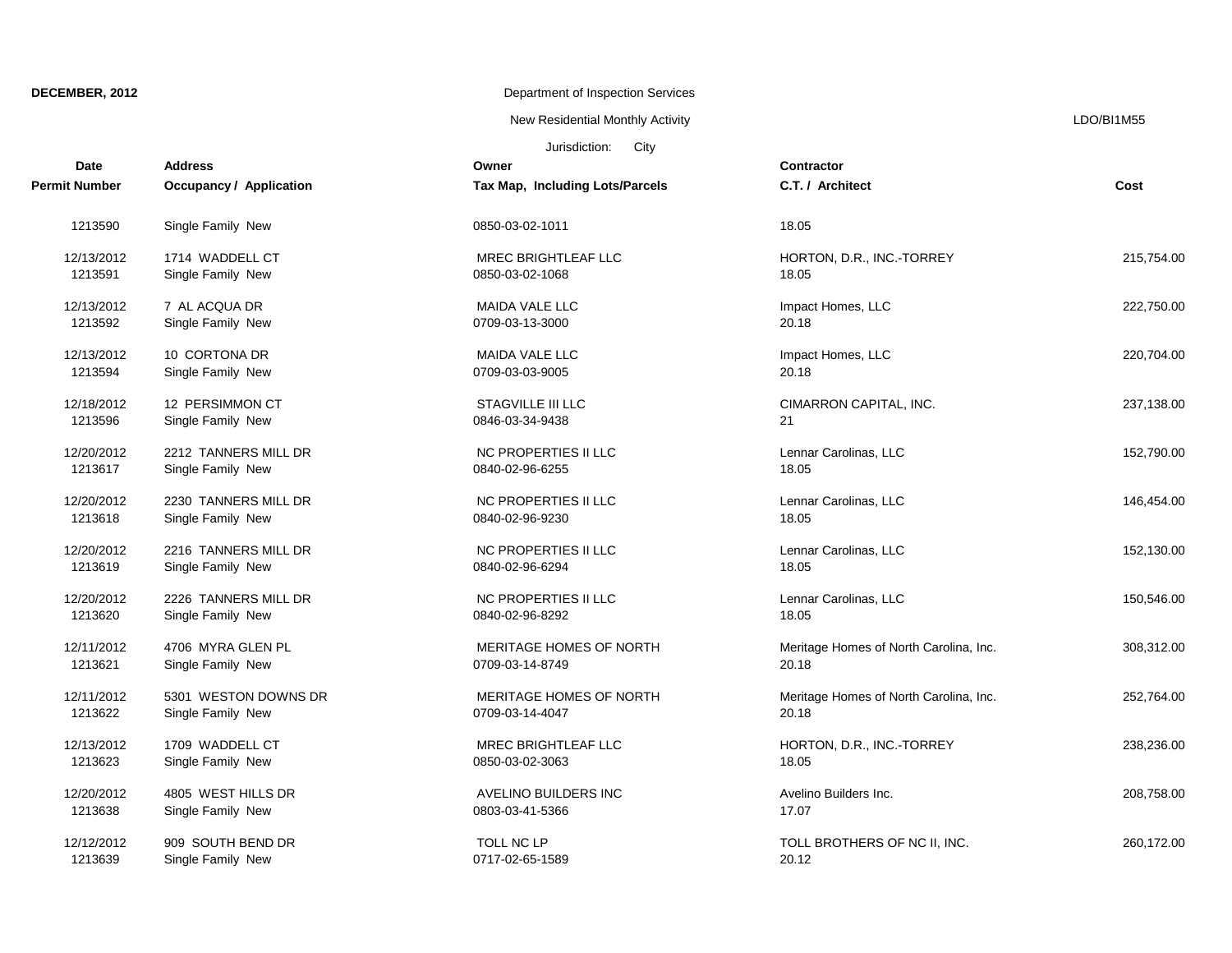New Residential Monthly Activity **LACTION** CONSERVITY ASSESSMENT RESIDENTS A LOO AND THE RESIDENTS OF A LOO AND THE RESIDENCE OF A LOO AND THE RESIDENCE OF A LOO AND THE RESIDENCE OF A LOO AND THE RESIDENCE OF A LOO AND TH

| <b>Date</b>   | <b>Address</b>                 | Owner                           | <b>Contractor</b>                      |            |
|---------------|--------------------------------|---------------------------------|----------------------------------------|------------|
| Permit Number | <b>Occupancy / Application</b> | Tax Map, Including Lots/Parcels | C.T. / Architect                       | Cost       |
| 1213590       | Single Family New              | 0850-03-02-1011                 | 18.05                                  |            |
| 12/13/2012    | 1714 WADDELL CT                | <b>MREC BRIGHTLEAF LLC</b>      | HORTON, D.R., INC.-TORREY              | 215,754.00 |
| 1213591       | Single Family New              | 0850-03-02-1068                 | 18.05                                  |            |
| 12/13/2012    | 7 AL ACQUA DR                  | <b>MAIDA VALE LLC</b>           | Impact Homes, LLC                      | 222,750.00 |
| 1213592       | Single Family New              | 0709-03-13-3000                 | 20.18                                  |            |
| 12/13/2012    | 10 CORTONA DR                  | <b>MAIDA VALE LLC</b>           | Impact Homes, LLC                      | 220,704.00 |
| 1213594       | Single Family New              | 0709-03-03-9005                 | 20.18                                  |            |
| 12/18/2012    | 12 PERSIMMON CT                | <b>STAGVILLE III LLC</b>        | CIMARRON CAPITAL, INC.                 | 237,138.00 |
| 1213596       | Single Family New              | 0846-03-34-9438                 | 21                                     |            |
| 12/20/2012    | 2212 TANNERS MILL DR           | NC PROPERTIES II LLC            | Lennar Carolinas, LLC                  | 152,790.00 |
| 1213617       | Single Family New              | 0840-02-96-6255                 | 18.05                                  |            |
| 12/20/2012    | 2230 TANNERS MILL DR           | NC PROPERTIES II LLC            | Lennar Carolinas, LLC                  | 146,454.00 |
| 1213618       | Single Family New              | 0840-02-96-9230                 | 18.05                                  |            |
| 12/20/2012    | 2216 TANNERS MILL DR           | NC PROPERTIES II LLC            | Lennar Carolinas, LLC                  | 152,130.00 |
| 1213619       | Single Family New              | 0840-02-96-6294                 | 18.05                                  |            |
| 12/20/2012    | 2226 TANNERS MILL DR           | NC PROPERTIES II LLC            | Lennar Carolinas, LLC                  | 150,546.00 |
| 1213620       | Single Family New              | 0840-02-96-8292                 | 18.05                                  |            |
| 12/11/2012    | 4706 MYRA GLEN PL              | MERITAGE HOMES OF NORTH         | Meritage Homes of North Carolina, Inc. | 308,312.00 |
| 1213621       | Single Family New              | 0709-03-14-8749                 | 20.18                                  |            |
| 12/11/2012    | 5301 WESTON DOWNS DR           | MERITAGE HOMES OF NORTH         | Meritage Homes of North Carolina, Inc. | 252,764.00 |
| 1213622       | Single Family New              | 0709-03-14-4047                 | 20.18                                  |            |
| 12/13/2012    | 1709 WADDELL CT                | <b>MREC BRIGHTLEAF LLC</b>      | HORTON, D.R., INC.-TORREY              | 238,236.00 |
| 1213623       | Single Family New              | 0850-03-02-3063                 | 18.05                                  |            |
| 12/20/2012    | 4805 WEST HILLS DR             | AVELINO BUILDERS INC            | Avelino Builders Inc.                  | 208,758.00 |
| 1213638       | Single Family New              | 0803-03-41-5366                 | 17.07                                  |            |
| 12/12/2012    | 909 SOUTH BEND DR              | TOLL NC LP                      | TOLL BROTHERS OF NC II, INC.           | 260,172.00 |
| 1213639       | Single Family New              | 0717-02-65-1589                 | 20.12                                  |            |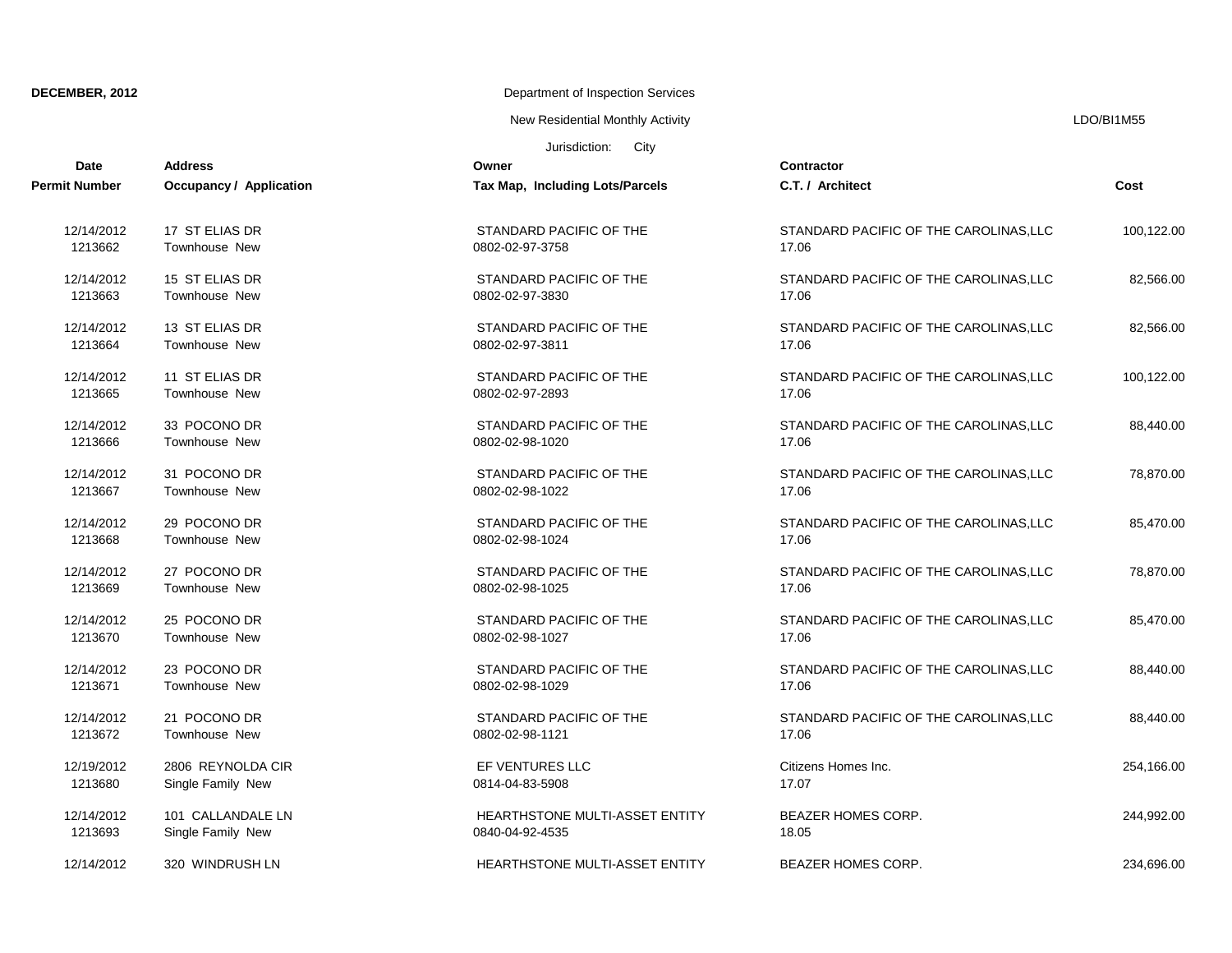New Residential Monthly Activity **LACTION** CONSERVITY ASSESSMENT RESIDENTS A LOOMBIT M55

| Jurisdiction:<br>City<br>Date<br><b>Address</b><br>Owner<br><b>Contractor</b> |                                |                                       |                                        |            |
|-------------------------------------------------------------------------------|--------------------------------|---------------------------------------|----------------------------------------|------------|
| <b>Permit Number</b>                                                          | <b>Occupancy / Application</b> | Tax Map, Including Lots/Parcels       | C.T. / Architect                       | Cost       |
| 12/14/2012                                                                    | 17 ST ELIAS DR                 | STANDARD PACIFIC OF THE               | STANDARD PACIFIC OF THE CAROLINAS, LLC | 100,122.00 |
| 1213662                                                                       | Townhouse New                  | 0802-02-97-3758                       | 17.06                                  |            |
| 12/14/2012                                                                    | 15 ST ELIAS DR                 | STANDARD PACIFIC OF THE               | STANDARD PACIFIC OF THE CAROLINAS, LLC | 82,566.00  |
| 1213663                                                                       | Townhouse New                  | 0802-02-97-3830                       | 17.06                                  |            |
| 12/14/2012                                                                    | 13 ST ELIAS DR                 | STANDARD PACIFIC OF THE               | STANDARD PACIFIC OF THE CAROLINAS, LLC | 82,566.00  |
| 1213664                                                                       | Townhouse New                  | 0802-02-97-3811                       | 17.06                                  |            |
| 12/14/2012                                                                    | 11 ST ELIAS DR                 | STANDARD PACIFIC OF THE               | STANDARD PACIFIC OF THE CAROLINAS, LLC | 100,122.00 |
| 1213665                                                                       | Townhouse New                  | 0802-02-97-2893                       | 17.06                                  |            |
| 12/14/2012                                                                    | 33 POCONO DR                   | STANDARD PACIFIC OF THE               | STANDARD PACIFIC OF THE CAROLINAS, LLC | 88,440.00  |
| 1213666                                                                       | Townhouse New                  | 0802-02-98-1020                       | 17.06                                  |            |
| 12/14/2012                                                                    | 31 POCONO DR                   | STANDARD PACIFIC OF THE               | STANDARD PACIFIC OF THE CAROLINAS, LLC | 78,870.00  |
| 1213667                                                                       | Townhouse New                  | 0802-02-98-1022                       | 17.06                                  |            |
| 12/14/2012                                                                    | 29 POCONO DR                   | STANDARD PACIFIC OF THE               | STANDARD PACIFIC OF THE CAROLINAS, LLC | 85,470.00  |
| 1213668                                                                       | Townhouse New                  | 0802-02-98-1024                       | 17.06                                  |            |
| 12/14/2012                                                                    | 27 POCONO DR                   | STANDARD PACIFIC OF THE               | STANDARD PACIFIC OF THE CAROLINAS, LLC | 78,870.00  |
| 1213669                                                                       | Townhouse New                  | 0802-02-98-1025                       | 17.06                                  |            |
| 12/14/2012                                                                    | 25 POCONO DR                   | STANDARD PACIFIC OF THE               | STANDARD PACIFIC OF THE CAROLINAS, LLC | 85,470.00  |
| 1213670                                                                       | Townhouse New                  | 0802-02-98-1027                       | 17.06                                  |            |
| 12/14/2012                                                                    | 23 POCONO DR                   | STANDARD PACIFIC OF THE               | STANDARD PACIFIC OF THE CAROLINAS, LLC | 88,440.00  |
| 1213671                                                                       | Townhouse New                  | 0802-02-98-1029                       | 17.06                                  |            |
| 12/14/2012                                                                    | 21 POCONO DR                   | STANDARD PACIFIC OF THE               | STANDARD PACIFIC OF THE CAROLINAS, LLC | 88,440.00  |
| 1213672                                                                       | Townhouse New                  | 0802-02-98-1121                       | 17.06                                  |            |
| 12/19/2012                                                                    | 2806 REYNOLDA CIR              | EF VENTURES LLC                       | Citizens Homes Inc.                    | 254,166.00 |
| 1213680                                                                       | Single Family New              | 0814-04-83-5908                       | 17.07                                  |            |
| 12/14/2012                                                                    | 101 CALLANDALE LN              | HEARTHSTONE MULTI-ASSET ENTITY        | BEAZER HOMES CORP.                     | 244,992.00 |
| 1213693                                                                       | Single Family New              | 0840-04-92-4535                       | 18.05                                  |            |
| 12/14/2012                                                                    | 320 WINDRUSH LN                | <b>HEARTHSTONE MULTI-ASSET ENTITY</b> | <b>BEAZER HOMES CORP.</b>              | 234,696.00 |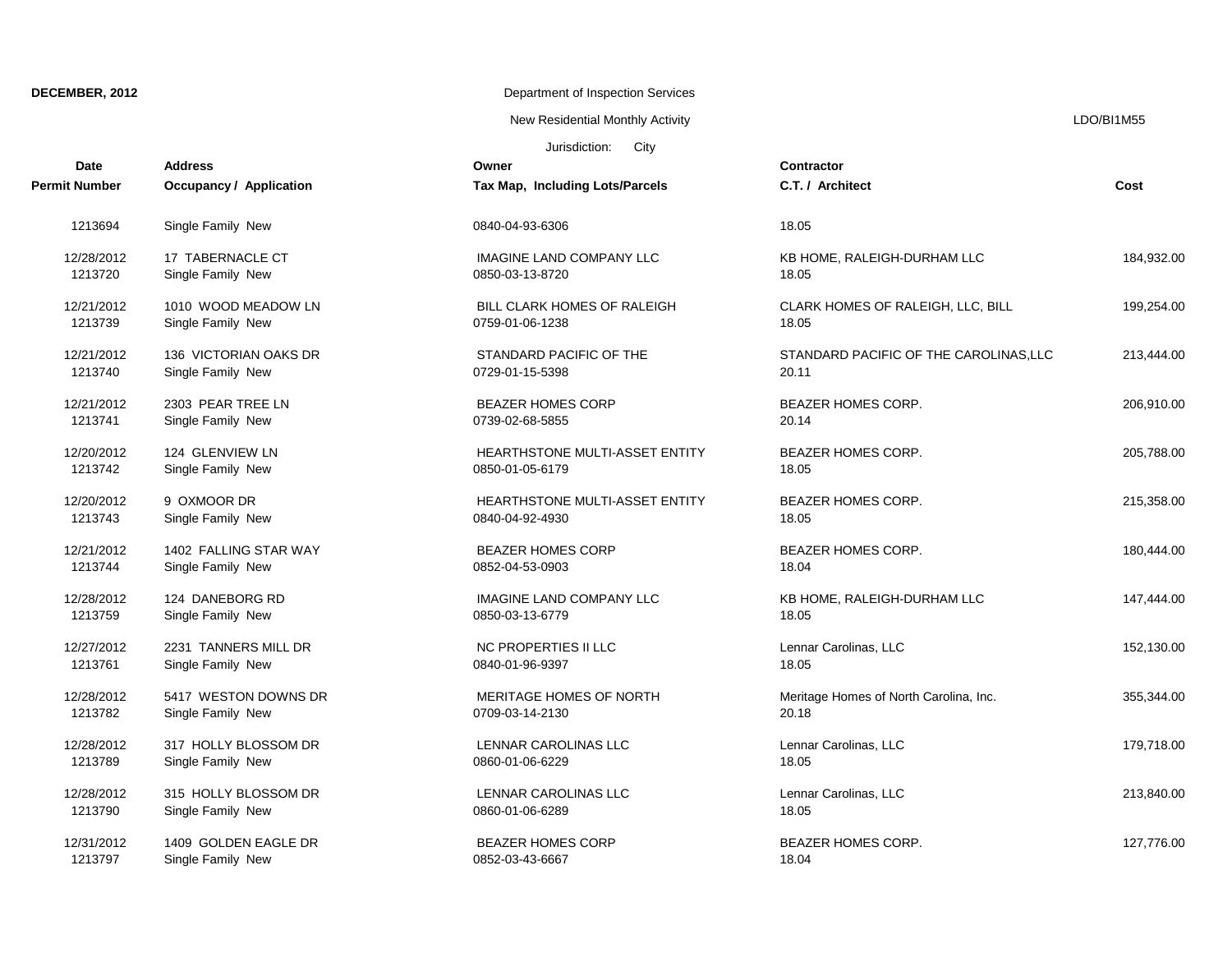New Residential Monthly Activity **LACTION** CONSERVITY ASSESSMENT RESIDENTS A LOO AND THE RESIDENTS OF A LOO AND THE RESIDENCE OF A LOO AND THE RESIDENCE OF A LOO AND THE RESIDENCE OF A LOO AND THE RESIDENCE OF A LOO AND TH

| <b>Date</b>   | <b>Address</b>                 | Owner                                 | Contractor                             | Cost       |
|---------------|--------------------------------|---------------------------------------|----------------------------------------|------------|
| Permit Number | <b>Occupancy / Application</b> | Tax Map, Including Lots/Parcels       | C.T. / Architect                       |            |
| 1213694       | Single Family New              | 0840-04-93-6306                       | 18.05                                  |            |
| 12/28/2012    | 17 TABERNACLE CT               | <b>IMAGINE LAND COMPANY LLC</b>       | KB HOME, RALEIGH-DURHAM LLC            | 184,932.00 |
| 1213720       | Single Family New              | 0850-03-13-8720                       | 18.05                                  |            |
| 12/21/2012    | 1010 WOOD MEADOW LN            | BILL CLARK HOMES OF RALEIGH           | CLARK HOMES OF RALEIGH, LLC, BILL      | 199,254.00 |
| 1213739       | Single Family New              | 0759-01-06-1238                       | 18.05                                  |            |
| 12/21/2012    | 136 VICTORIAN OAKS DR          | STANDARD PACIFIC OF THE               | STANDARD PACIFIC OF THE CAROLINAS, LLC | 213,444.00 |
| 1213740       | Single Family New              | 0729-01-15-5398                       | 20.11                                  |            |
| 12/21/2012    | 2303 PEAR TREE LN              | <b>BEAZER HOMES CORP</b>              | <b>BEAZER HOMES CORP.</b>              | 206,910.00 |
| 1213741       | Single Family New              | 0739-02-68-5855                       | 20.14                                  |            |
| 12/20/2012    | 124 GLENVIEW LN                | <b>HEARTHSTONE MULTI-ASSET ENTITY</b> | BEAZER HOMES CORP.                     | 205,788.00 |
| 1213742       | Single Family New              | 0850-01-05-6179                       | 18.05                                  |            |
| 12/20/2012    | 9 OXMOOR DR                    | <b>HEARTHSTONE MULTI-ASSET ENTITY</b> | <b>BEAZER HOMES CORP.</b>              | 215,358.00 |
| 1213743       | Single Family New              | 0840-04-92-4930                       | 18.05                                  |            |
| 12/21/2012    | 1402 FALLING STAR WAY          | <b>BEAZER HOMES CORP</b>              | <b>BEAZER HOMES CORP.</b>              | 180,444.00 |
| 1213744       | Single Family New              | 0852-04-53-0903                       | 18.04                                  |            |
| 12/28/2012    | 124 DANEBORG RD                | <b>IMAGINE LAND COMPANY LLC</b>       | KB HOME, RALEIGH-DURHAM LLC            | 147,444.00 |
| 1213759       | Single Family New              | 0850-03-13-6779                       | 18.05                                  |            |
| 12/27/2012    | 2231 TANNERS MILL DR           | NC PROPERTIES II LLC                  | Lennar Carolinas, LLC                  | 152,130.00 |
| 1213761       | Single Family New              | 0840-01-96-9397                       | 18.05                                  |            |
| 12/28/2012    | 5417 WESTON DOWNS DR           | <b>MERITAGE HOMES OF NORTH</b>        | Meritage Homes of North Carolina, Inc. | 355,344.00 |
| 1213782       | Single Family New              | 0709-03-14-2130                       | 20.18                                  |            |
| 12/28/2012    | 317 HOLLY BLOSSOM DR           | LENNAR CAROLINAS LLC                  | Lennar Carolinas, LLC                  | 179.718.00 |
| 1213789       | Single Family New              | 0860-01-06-6229                       | 18.05                                  |            |
| 12/28/2012    | 315 HOLLY BLOSSOM DR           | LENNAR CAROLINAS LLC                  | Lennar Carolinas, LLC                  | 213,840.00 |
| 1213790       | Single Family New              | 0860-01-06-6289                       | 18.05                                  |            |
| 12/31/2012    | 1409 GOLDEN EAGLE DR           | <b>BEAZER HOMES CORP</b>              | BEAZER HOMES CORP.                     | 127,776.00 |
| 1213797       | Single Family New              | 0852-03-43-6667                       | 18.04                                  |            |